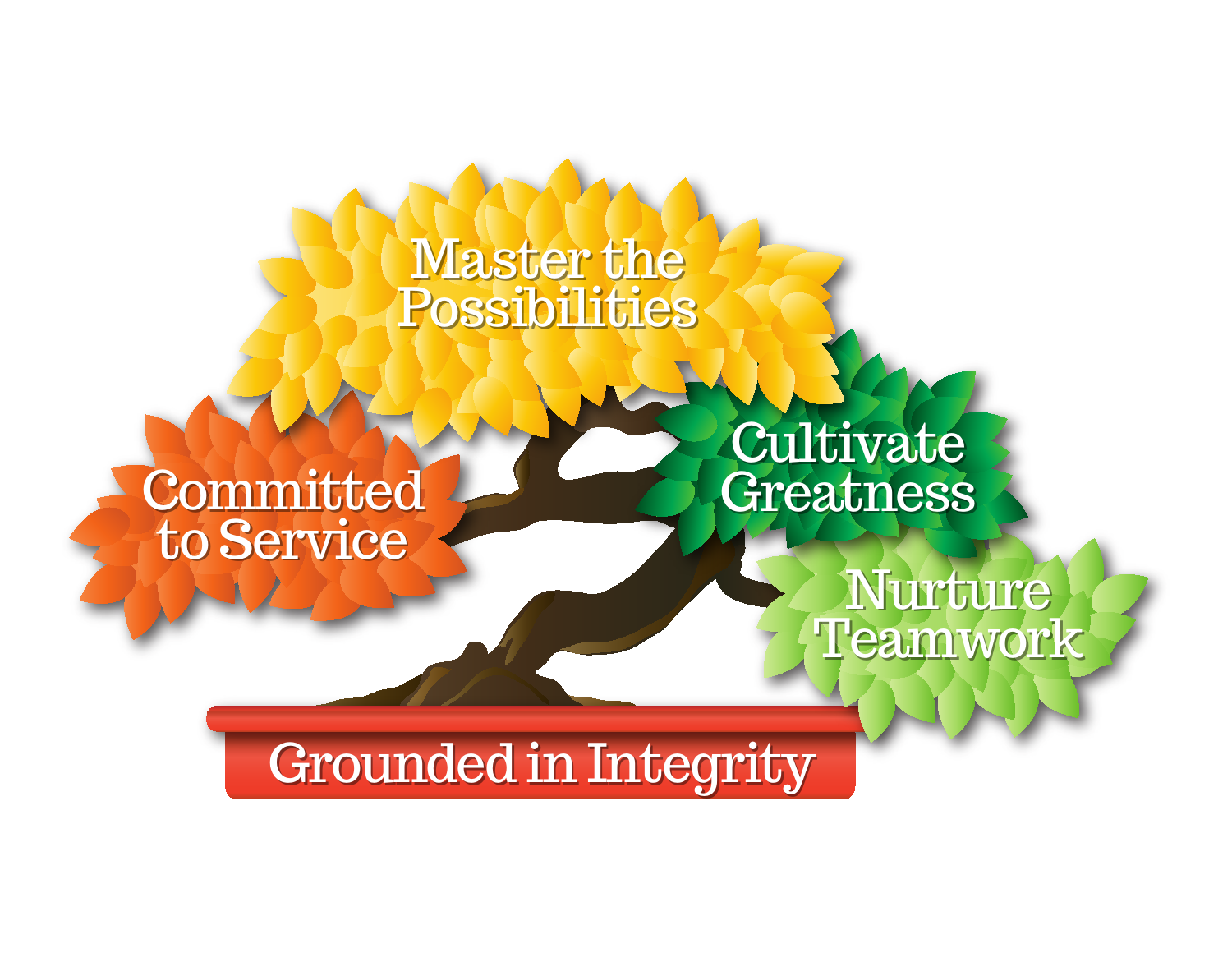## Master the Master the Possibilities Possibilities

# Committed Committed to Service to Service

Cultivate Cultivate Greatness Greatness

> Nurture Nurture Teamwork Teamwork

Grounded in Integrity Grounded in Integrity